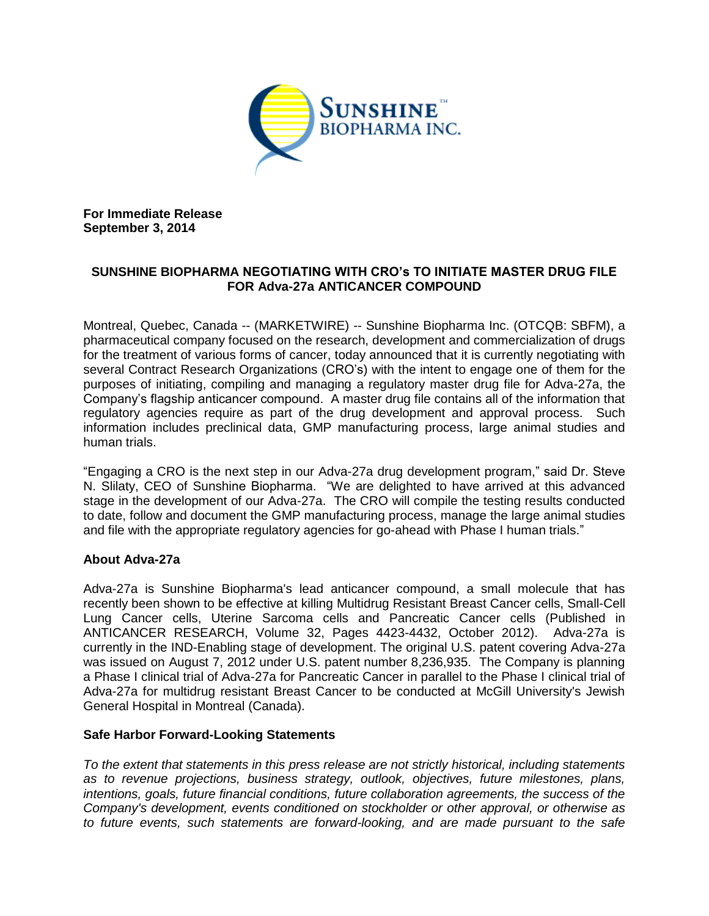

**For Immediate Release September 3, 2014**

## **SUNSHINE BIOPHARMA NEGOTIATING WITH CRO's TO INITIATE MASTER DRUG FILE FOR Adva-27a ANTICANCER COMPOUND**

Montreal, Quebec, Canada -- (MARKETWIRE) -- Sunshine Biopharma Inc. (OTCQB: SBFM), a pharmaceutical company focused on the research, development and commercialization of drugs for the treatment of various forms of cancer, today announced that it is currently negotiating with several Contract Research Organizations (CRO's) with the intent to engage one of them for the purposes of initiating, compiling and managing a regulatory master drug file for Adva-27a, the Company's flagship anticancer compound. A master drug file contains all of the information that regulatory agencies require as part of the drug development and approval process. Such information includes preclinical data, GMP manufacturing process, large animal studies and human trials.

"Engaging a CRO is the next step in our Adva-27a drug development program," said Dr. Steve N. Slilaty, CEO of Sunshine Biopharma. "We are delighted to have arrived at this advanced stage in the development of our Adva-27a. The CRO will compile the testing results conducted to date, follow and document the GMP manufacturing process, manage the large animal studies and file with the appropriate regulatory agencies for go-ahead with Phase I human trials."

## **About Adva-27a**

Adva-27a is Sunshine Biopharma's lead anticancer compound, a small molecule that has recently been shown to be effective at killing Multidrug Resistant Breast Cancer cells, Small-Cell Lung Cancer cells, Uterine Sarcoma cells and Pancreatic Cancer cells (Published in ANTICANCER RESEARCH, Volume 32, Pages 4423-4432, October 2012). Adva-27a is currently in the IND-Enabling stage of development. The original U.S. patent covering Adva-27a was issued on August 7, 2012 under U.S. patent number 8,236,935. The Company is planning a Phase I clinical trial of Adva-27a for Pancreatic Cancer in parallel to the Phase I clinical trial of Adva-27a for multidrug resistant Breast Cancer to be conducted at McGill University's Jewish General Hospital in Montreal (Canada).

## **Safe Harbor Forward-Looking Statements**

*To the extent that statements in this press release are not strictly historical, including statements as to revenue projections, business strategy, outlook, objectives, future milestones, plans, intentions, goals, future financial conditions, future collaboration agreements, the success of the Company's development, events conditioned on stockholder or other approval, or otherwise as to future events, such statements are forward-looking, and are made pursuant to the safe*